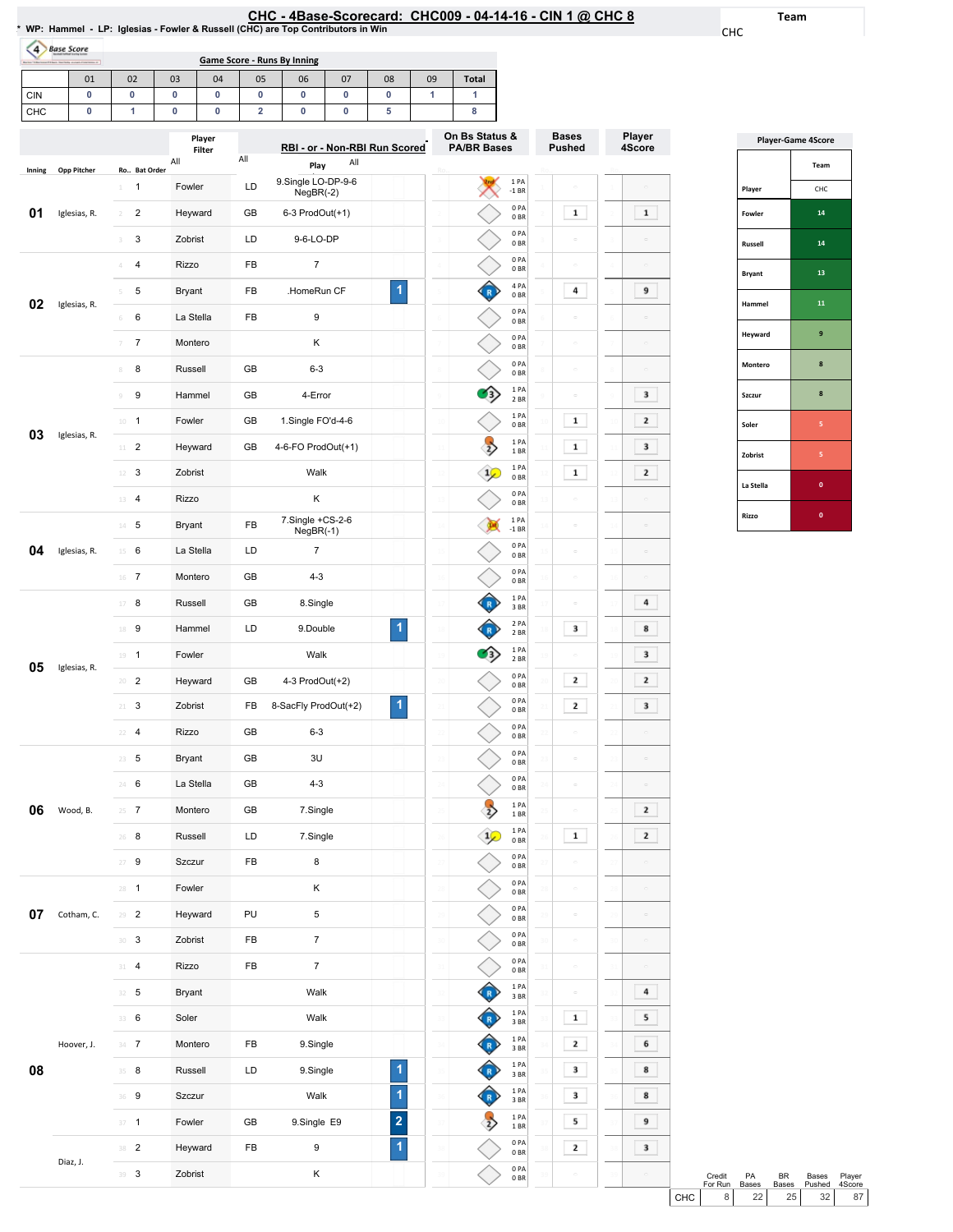## <u>CHC - 4Base-Scorecard: CHC009 - 04-14-16 - CIN 1 @ CHC 8</u><br>\* WP: Hammel - LP: Iglesias - Fowler & Russell (CHC) are Top Contributors in Win

Team

CHC

| Books (Allechand) (Alas), San Sale and all Abertamo at | pase score | Game Score - Runs By Inning |    |                  |    |                               |    |    |    |                                 |  |
|--------------------------------------------------------|------------|-----------------------------|----|------------------|----|-------------------------------|----|----|----|---------------------------------|--|
|                                                        | 01         | 02                          | 03 | 04               | 05 | 06                            | 07 | 08 | 09 | <b>Total</b>                    |  |
| <b>CIN</b>                                             |            |                             |    |                  |    |                               |    |    |    |                                 |  |
| CHC                                                    |            |                             |    |                  |    |                               |    |    |    |                                 |  |
|                                                        |            |                             |    | Player<br>Filter |    | RBI - or - Non-RBI Run Scored |    |    |    | On Bs Statu<br><b>PA/BR Bas</b> |  |

|        |                    |                                           | Player        |     | RBI - or - Non-RBI Run Scored     |                         |                 | On Bs Status &<br><b>PA/BR Bases</b> |                                      |                 | <b>Bases</b><br><b>Pushed</b> |    | Player              |
|--------|--------------------|-------------------------------------------|---------------|-----|-----------------------------------|-------------------------|-----------------|--------------------------------------|--------------------------------------|-----------------|-------------------------------|----|---------------------|
|        |                    |                                           | Filter<br>All | All | All                               |                         |                 |                                      |                                      |                 |                               |    | 4Score              |
| Inning | <b>Opp Pitcher</b> | Ro Bat Order                              |               |     | Play                              |                         |                 |                                      |                                      |                 |                               |    |                     |
|        |                    | 1<br>$\perp$                              | Fowler        | LD  | 9.Single LO-DP-9-6<br>$NegBR(-2)$ |                         |                 |                                      | 1 PA<br>$-1$ BR                      |                 |                               |    |                     |
| 01     | Iglesias, R.       | $\overline{\mathbf{c}}$<br>$\overline{2}$ | Heyward       | GB  | 6-3 ProdOut(+1)                   |                         |                 |                                      | 0PA<br>0BR                           |                 | $\mathbf 1$                   |    | $\mathbf 1$         |
|        |                    | 3<br>3                                    | Zobrist       | LD  | 9-6-LO-DP                         |                         |                 |                                      | 0PA<br>0 <sub>BR</sub>               |                 |                               |    |                     |
|        |                    | 4<br>4                                    | Rizzo         | FB  | 7                                 |                         |                 |                                      | 0PA<br>0BR                           |                 | $\sim$                        |    | $\Box$              |
| 02     | Iglesias, R.       | 5<br>5                                    | <b>Bryant</b> | FB  | .HomeRun CF                       | 1                       |                 |                                      | 4 PA<br>0 <sub>BR</sub>              |                 | 4                             |    | 9                   |
|        |                    | 6<br>6                                    | La Stella     | FB  | 9                                 |                         |                 |                                      | 0PA<br>0 <sub>BR</sub>               |                 |                               |    |                     |
|        |                    | $\boldsymbol{7}$<br>$\overline{\gamma}$   | Montero       |     | Κ                                 |                         |                 |                                      | 0PA<br>0 <sub>BR</sub>               |                 | $\equiv$                      |    | $\Box$              |
|        |                    | 8<br>8                                    | Russell       | GB  | $6 - 3$                           |                         |                 |                                      | 0PA<br>0 <sub>BR</sub>               |                 | $\Box$                        |    | $\alpha$            |
|        |                    | 9<br>9                                    | Hammel        | GB  | 4-Error                           |                         | $\overline{q}$  | 13)                                  | 1PA<br>2 BR                          |                 |                               |    | 3                   |
| 03     | Iglesias, R.       | $\mathbf{1}$<br>10                        | Fowler        | GB  | 1.Single FO'd-4-6                 |                         | 10              |                                      | 1 PA<br>0BR                          | Ľ               | $\mathbf 1$                   |    | 2                   |
|        |                    | $\overline{2}$<br>$11\,$                  | Heyward       | GB  | 4-6-FO ProdOut(+1)                |                         | $\overline{11}$ |                                      | 1PA<br>1 BR                          |                 | $\mathbf 1$                   |    | 3                   |
|        |                    | 3<br>12                                   | Zobrist       |     | Walk                              |                         | 12              | $\mathbf{1}$                         | 1PA<br>0BR                           |                 | $\mathbf 1$                   |    | 2                   |
|        |                    | $\overline{\mathbf{4}}$<br>13             | Rizzo         |     | Κ                                 |                         |                 |                                      | 0PA<br>0 <sub>BR</sub>               | Ė               | $\sim$                        |    |                     |
|        |                    | 5<br>$14\,$                               | <b>Bryant</b> | FB  | 7.Single +CS-2-6<br>NegBR(-1)     |                         | 14              |                                      | 1PA<br>$-1$ BR                       | ū               | $\sim$                        |    | $\equiv$            |
| 04     | Iglesias, R.       | 6<br>15                                   | La Stella     | LD  | 7                                 |                         | 15              |                                      | 0PA<br>0 <sub>BR</sub>               |                 | $\Box$                        |    | $\overline{a}$      |
|        |                    | 7<br>16                                   | Montero       | GB  | $4 - 3$                           |                         | 16              |                                      | 0PA<br>0 <sub>BR</sub>               | 16              | $\Box$                        | 16 | $\Box$              |
|        |                    | 8<br>17                                   | Russell       | GB  | 8.Single                          |                         | 17              |                                      | 1 PA<br>3BR                          |                 | $\Box$                        |    | 4                   |
|        |                    | 9<br>18                                   | Hammel        | LD  | 9.Double                          | 1                       | 18              |                                      | 2 PA<br>2 BR                         | 18              | 3                             |    | 8                   |
| 05     |                    | $\mathbf{1}$<br>19                        | Fowler        |     | Walk                              |                         | 19              |                                      | 1 PA<br>2 BR                         | 19              |                               |    | 3                   |
|        | Iglesias, R.       | $\overline{\mathbf{c}}$<br>20             | Heyward       | GB  | 4-3 ProdOut(+2)                   |                         | $\overline{20}$ |                                      | 0PA<br>0 <sub>BR</sub>               | $\overline{20}$ | 2                             |    | 2                   |
|        |                    | 3<br>21                                   | Zobrist       | FB  | 8-SacFly ProdOut(+2)              | 1                       | 21              |                                      | 0PA<br>0 <sub>BR</sub>               |                 | 2                             |    | 3                   |
|        |                    | $\overline{\mathbf{4}}$<br>22             | Rizzo         | GB  | $6 - 3$                           |                         | 22              |                                      | 0PA<br>0 <sub>BR</sub>               | ż               | $\equiv$                      |    | $\alpha$            |
|        |                    | 5<br>23                                   | <b>Bryant</b> | GB  | 3U                                |                         | 23              |                                      | 0PA<br>0 <sub>BR</sub>               | 23              | $\hskip10mm\Box$              |    | $\equiv$            |
|        |                    | 6<br>24                                   | La Stella     | GB  | $4 - 3$                           |                         | 24              |                                      | 0PA<br>0 <sub>BR</sub>               |                 | $\Box$                        |    | $\Box$              |
| 06     | Wood, B.           | 7<br>25                                   | Montero       | GB  | 7.Single                          |                         | 25              |                                      | 1PA<br>1 BR                          |                 | $\circ$                       |    | 2                   |
|        |                    | 8<br>26                                   | Russell       | LD  | 7.Single                          |                         |                 | 步                                    | 1 PA<br>$0\;\mathrm{BR}$             |                 | $\mathbf 1$                   |    | 2                   |
|        |                    | $\boldsymbol{9}$<br>27                    | Szczur        | FB  | 8                                 |                         | 27              |                                      | 0PA<br>$0\;\ensuremath{\mathsf{BR}}$ | ò.              | $\hfill \square$              |    | $\Box$              |
|        |                    | $28 - 1$                                  | Fowler        |     | Κ                                 |                         | 28              |                                      | 0 PA<br>0BR                          | 28              | $\equiv$                      | 28 | $\hfill \square$    |
| 07     | Cotham, C.         | 29<br>$\overline{\mathbf{c}}$             | Heyward       | PU  | 5                                 |                         | $\overline{29}$ |                                      | 0PA<br>0BR                           | 29              | $\hfill \square$              |    | $\Box$              |
|        |                    | $\ensuremath{\mathsf{3}}$<br>30           | Zobrist       | FB  | $\overline{7}$                    |                         | 30              |                                      | 0PA<br>0BR                           | 30              | $\circ$                       | 30 | $\Box$              |
|        |                    | $\sqrt{4}$<br>31                          | Rizzo         | FB  | $\overline{7}$                    |                         | 31              |                                      | 0PA<br>$0\;\mathrm{BR}$              | 31              | $\hfill \square$              |    | $\bar{\phantom{a}}$ |
|        |                    | 5<br>32                                   | Bryant        |     | Walk                              |                         | 32              |                                      | 1 PA<br>$3\;\mathrm{BR}$             | 32              | $\hfill \square$              | 32 | 4                   |
|        |                    | $\,6\,$<br>33                             | Soler         |     | Walk                              |                         | 33              |                                      | 1PA<br>3 BR                          | 33              | $\mathbf{1}$                  |    | 5                   |
|        | Hoover, J.         | $\overline{7}$<br>$34 -$                  | Montero       | FB  | 9.Single                          |                         | 34              |                                      | 1PA<br>3 BR                          | 34              | $\mathbf{z}$                  |    | 6                   |
| 08     |                    | 35 8                                      | Russell       | LD  | 9.Single                          | 1                       | 35              |                                      | 1PA<br>3 BR                          | 35              | 3                             |    | 8                   |
|        |                    | $\boldsymbol{9}$<br>36                    | Szczur        |     | Walk                              | 1                       | 36              |                                      | 1PA<br>3 BR                          | 36              | 3                             |    | 8                   |
|        |                    | $37 - 1$                                  | Fowler        | GB  | 9.Single E9                       | $\overline{\mathbf{c}}$ | 37              |                                      | 1PA<br>1 BR                          | 3               | 5                             |    | 9                   |
|        | Diaz, J.           | $\overline{c}$<br>38                      | Heyward       | FB  | 9                                 | $\overline{\mathbf{1}}$ | 38              |                                      | 0PA<br>$0\;\mathrm{BR}$              |                 | 2                             |    | 3                   |
|        |                    | 3<br>39                                   | Zobrist       |     | Κ                                 |                         | 39              |                                      | $0$ PA<br>$0\;\mathrm{BR}$           |                 | $\sim$                        |    | $\Box$              |

|               | <b>Player-Game 4Score</b> |
|---------------|---------------------------|
|               | Team                      |
| Player        | CHC                       |
| Fowler        | 14                        |
| Russell       | 14                        |
| <b>Bryant</b> | 13                        |
| Hammel        | 11                        |
| Heyward       | 9                         |
| Montero       | 8                         |
| Szczur        | 8                         |
| Soler         | 5                         |
| Zobrist       | 5                         |
| La Stella     | O                         |
| Rizzo         | O                         |

|         | Credit<br>For Run | PА<br><b>Bases</b> | RR<br><b>Bases</b> | Bases<br>Pushed | Player<br>4Score |  |
|---------|-------------------|--------------------|--------------------|-----------------|------------------|--|
| I снс I | 8                 | 22                 | 25                 | 32              | 87               |  |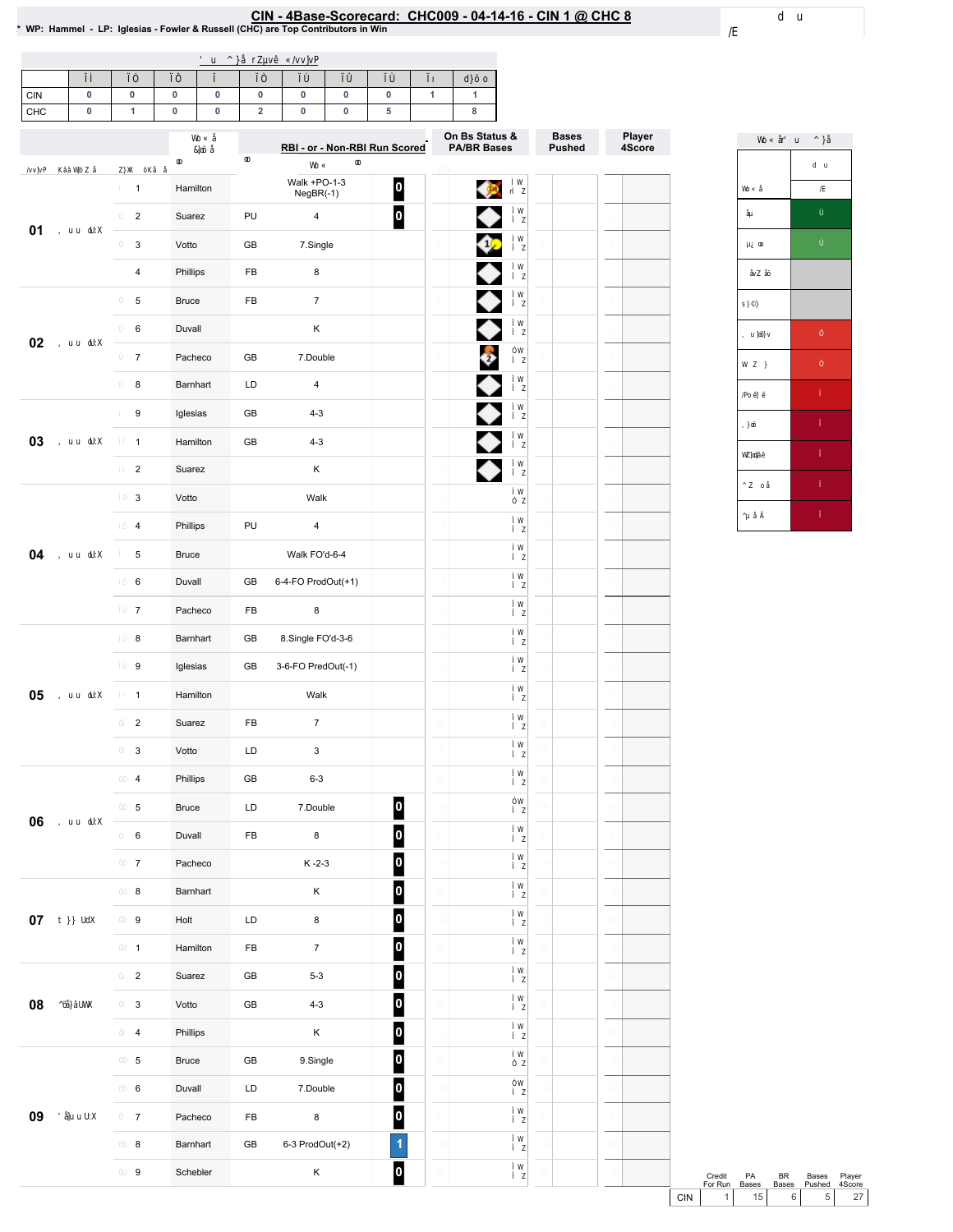### CIN-4Base-Scorecard:CHC009-04-14-16-CIN1@ CHC8 \*WP:Hammel-LP:Iglesias-Fowler&Russell(CHC)areTopContributorsinWin

| 0<br><b>CIN</b><br>CHC<br>0 | 0<br>1                  | $\pmb{0}$<br>$\pmb{0}$ | 0<br>0 | $\pmb{0}$<br>$\mathbf 2$ | 0<br>0                    | 0<br>0                        | 0<br>5                  | $\mathbf{1}$ | 1<br>8                               |                               |
|-----------------------------|-------------------------|------------------------|--------|--------------------------|---------------------------|-------------------------------|-------------------------|--------------|--------------------------------------|-------------------------------|
|                             |                         |                        |        |                          |                           | RBI - or - Non-RBI Run Scored |                         |              | On Bs Status &<br><b>PA/BR Bases</b> | <b>Bases</b><br><b>Pushed</b> |
|                             | $\mathbf{1}$            | Hamilton               |        |                          | Walk +PO-1-3<br>NegBR(-1) |                               | $\vert$ 0 $\vert$       |              |                                      |                               |
|                             | $\overline{\mathbf{c}}$ | Suarez                 |        | PU                       | $\pmb{4}$                 |                               | 0                       |              | ◆                                    |                               |
| 01                          | 3                       | Votto                  |        | GB                       | 7.Single                  |                               |                         |              | ♦                                    |                               |
|                             | 4                       | Phillips               |        | FB                       | 8                         |                               |                         |              | ◆                                    |                               |
|                             | 5                       | <b>Bruce</b>           |        | FB                       | $\overline{7}$            |                               |                         |              | ◆                                    |                               |
| 02                          | 6                       | Duvall                 |        |                          | Κ                         |                               |                         |              | ◆                                    |                               |
|                             | $\boldsymbol{7}$        | Pacheco                |        | 7.Double<br>GB           |                           |                               |                         |              | $\ddot{\bm{\theta}}$                 |                               |
|                             | 8                       | Barnhart               |        | LD                       | $\pmb{4}$                 |                               |                         |              | ◆                                    |                               |
|                             | 9                       | Iglesias               |        | GB                       | $4 - 3$                   |                               |                         |              | ♦                                    |                               |
| 03                          | $\mathbf{1}$            | Hamilton               |        | GB                       | $4 - 3$                   |                               |                         |              | ♦                                    |                               |
|                             | $\overline{c}$          | Suarez                 |        |                          | Κ                         |                               |                         |              |                                      |                               |
|                             | 3                       | Votto                  |        |                          | Walk                      |                               |                         |              |                                      |                               |
|                             | 4                       | Phillips               |        | PU                       | $\pmb{4}$                 |                               |                         |              |                                      |                               |
| 04                          | 5                       | <b>Bruce</b>           |        |                          | Walk FO'd-6-4             |                               |                         |              |                                      |                               |
|                             | 6                       | Duvall                 |        | GB                       | 6-4-FO ProdOut(+1)        |                               |                         |              |                                      |                               |
|                             | $\overline{7}$          | Pacheco                |        | FB                       | 8                         |                               |                         |              |                                      |                               |
|                             | 8                       | Barnhart               |        | GB                       | 8.Single FO'd-3-6         |                               |                         |              |                                      |                               |
|                             | 9                       | Iglesias               |        | GB                       | 3-6-FO PredOut(-1)        |                               |                         |              |                                      |                               |
| 05                          | $\mathbf{1}$            | Hamilton               |        |                          | Walk                      |                               |                         |              |                                      |                               |
|                             | $\overline{c}$          | Suarez                 |        | FB                       | $\boldsymbol{7}$          |                               |                         |              |                                      |                               |
|                             | 3                       | Votto                  |        | LD                       | 3                         |                               |                         |              |                                      |                               |
|                             | $\overline{\mathbf{4}}$ | Phillips               |        | GB                       | $6 - 3$                   |                               |                         |              |                                      |                               |
| 06                          | 5                       | Bruce                  |        | LD                       | 7.Double                  |                               | $\overline{\mathbf{0}}$ |              |                                      |                               |
|                             | $\,6\,$                 | Duvall                 |        | FB                       | $\bf8$                    |                               | $\vert$ 0               |              |                                      |                               |
|                             | $\boldsymbol{7}$        | Pacheco                |        |                          | $K - 2 - 3$               |                               | $\vert$ 0 $\vert$       |              |                                      |                               |
|                             | $\bf 8$                 | Barnhart               |        |                          | Κ                         |                               | $\vert$ o $\vert$       |              |                                      |                               |
| $07\,$                      | 9                       | Holt                   |        | LD                       | $\bf8$                    |                               | $\vert$ 0 $\vert$       |              |                                      |                               |
|                             | $\mathbf{1}$            | Hamilton               |        | ${\sf FB}$               | $\boldsymbol{7}$          |                               | $\vert$ o $\vert$       |              |                                      |                               |
|                             | $\overline{c}$          | Suarez                 |        | GB                       | $5 - 3$                   |                               | 0                       |              |                                      |                               |
| 08                          | $\mathsf 3$             | Votto                  |        | GB                       | $4 - 3$                   |                               | $\overline{\mathbf{0}}$ |              |                                      |                               |
|                             | $\pmb{4}$               | Phillips               |        |                          | Κ                         |                               | 0                       |              |                                      |                               |

 Duvall LD 7.Double 7 Pacheco FB 8

 

8 Barnhart GB 6-3 ProdOut(+2) Schebler K



Player 4Score

Credit PA<br>For Run Bases Credit PA BR Bases Player<br>
For Run Bases Bases Pushed 4Score<br>
CIN 1 15 6 5 27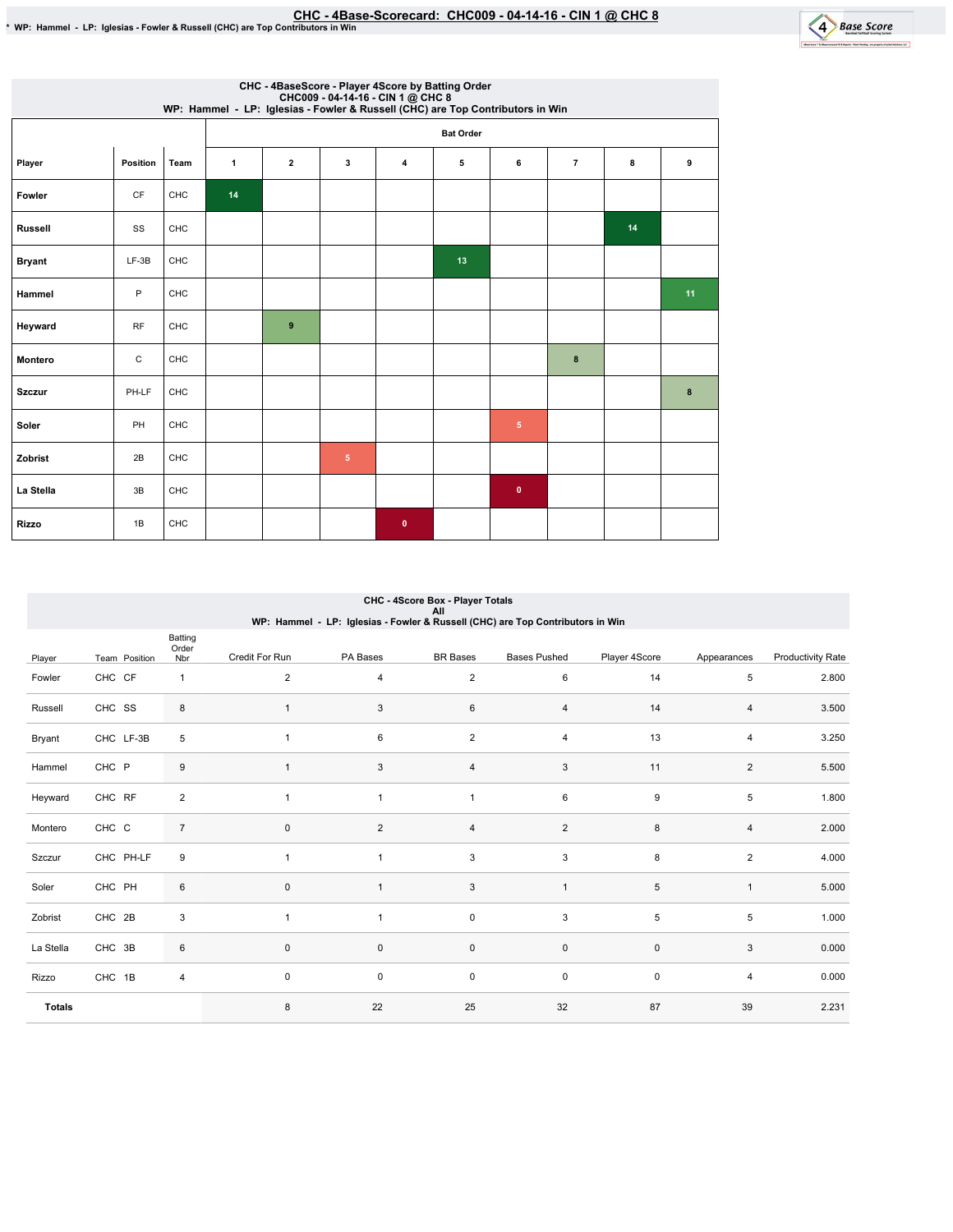Batting



| CHC - 4BaseScore - Player 4Score by Batting Order<br>CHC009 - 04-14-16 - CIN 1 @ CHC 8<br>WP: Hammel - LP: Iglesias - Fowler & Russell (CHC) are Top Contributors in Win |             |            |    |                |                |           |                  |                |                |    |    |  |
|--------------------------------------------------------------------------------------------------------------------------------------------------------------------------|-------------|------------|----|----------------|----------------|-----------|------------------|----------------|----------------|----|----|--|
|                                                                                                                                                                          |             |            |    |                |                |           | <b>Bat Order</b> |                |                |    |    |  |
| Player                                                                                                                                                                   | Position    | Team       | 1  | $\overline{2}$ | 3              | 4         | 5                | 6              | $\overline{7}$ | 8  | 9  |  |
| Fowler                                                                                                                                                                   | CF          | <b>CHC</b> | 14 |                |                |           |                  |                |                |    |    |  |
| <b>Russell</b>                                                                                                                                                           | SS          | <b>CHC</b> |    |                |                |           |                  |                |                | 14 |    |  |
| <b>Bryant</b>                                                                                                                                                            | $LF-3B$     | <b>CHC</b> |    |                |                |           | 13               |                |                |    |    |  |
| Hammel                                                                                                                                                                   | P           | <b>CHC</b> |    |                |                |           |                  |                |                |    | 11 |  |
| Heyward                                                                                                                                                                  | <b>RF</b>   | CHC        |    | 9              |                |           |                  |                |                |    |    |  |
| <b>Montero</b>                                                                                                                                                           | $\mathsf C$ | <b>CHC</b> |    |                |                |           |                  |                | 8              |    |    |  |
| <b>Szczur</b>                                                                                                                                                            | PH-LF       | <b>CHC</b> |    |                |                |           |                  |                |                |    | 8  |  |
| Soler                                                                                                                                                                    | PH          | <b>CHC</b> |    |                |                |           |                  | 5 <sup>5</sup> |                |    |    |  |
| Zobrist                                                                                                                                                                  | 2B          | <b>CHC</b> |    |                | 5 <sub>5</sub> |           |                  |                |                |    |    |  |
| La Stella                                                                                                                                                                | 3B          | CHC        |    |                |                |           |                  | $\bullet$      |                |    |    |  |
| <b>Rizzo</b>                                                                                                                                                             | 1B          | <b>CHC</b> |    |                |                | $\bullet$ |                  |                |                |    |    |  |

# CHC - 4Score Box - Player Totals<br>All

|  |  |  |  |  |  |  |  |  |  | WP: Hammel - LP: Iglesias - Fowler & Russell (CHC) are Top Contributors in Win |  |
|--|--|--|--|--|--|--|--|--|--|--------------------------------------------------------------------------------|--|
|--|--|--|--|--|--|--|--|--|--|--------------------------------------------------------------------------------|--|

| Player        | Team Position | Order<br>Nbr   | Credit For Run | PA Bases            | <b>BR</b> Bases     | <b>Bases Pushed</b>       | Player 4Score | Appearances             | <b>Productivity Rate</b> |
|---------------|---------------|----------------|----------------|---------------------|---------------------|---------------------------|---------------|-------------------------|--------------------------|
| Fowler        | CHC CF        | $\mathbf{1}$   | $\sqrt{2}$     | 4                   | $\overline{c}$      | $\,6\,$                   | 14            | 5                       | 2.800                    |
| Russell       | CHC SS        | 8              | $\mathbf{1}$   | 3                   | 6                   | 4                         | 14            | 4                       | 3.500                    |
| Bryant        | CHC LF-3B     | 5              | $\mathbf{1}$   | 6                   | $\overline{c}$      | 4                         | 13            | 4                       | 3.250                    |
| Hammel        | CHC P         | 9              | $\mathbf{1}$   | 3                   | 4                   | $\ensuremath{\mathsf{3}}$ | 11            | $\overline{\mathbf{c}}$ | 5.500                    |
| Heyward       | CHC RF        | $\overline{2}$ | $\mathbf{1}$   | $\overline{1}$      | $\mathbf{1}$        | 6                         | 9             | 5                       | 1.800                    |
| Montero       | CHC C         | $\overline{7}$ | $\pmb{0}$      | $\overline{2}$      | 4                   | $\sqrt{2}$                | 8             | 4                       | 2.000                    |
| Szczur        | CHC PH-LF     | 9              | $\mathbf{1}$   | $\mathbf{1}$        | 3                   | 3                         | 8             | $\overline{2}$          | 4.000                    |
| Soler         | CHC PH        | 6              | $\pmb{0}$      |                     | $\sqrt{3}$          | $\mathbf{1}$              | 5             | $\mathbf{1}$            | 5.000                    |
| Zobrist       | CHC 2B        | 3              | $\mathbf{1}$   |                     | $\mathsf{O}\xspace$ | $\mathsf 3$               | $\,$ 5 $\,$   | 5                       | 1.000                    |
| La Stella     | CHC 3B        | 6              | $\pmb{0}$      | $\mathbf 0$         | $\mathsf{O}\xspace$ | $\mathsf{O}\xspace$       | $\pmb{0}$     | 3                       | 0.000                    |
| Rizzo         | CHC 1B        | 4              | $\pmb{0}$      | $\mathsf{O}\xspace$ | $\mathsf{O}\xspace$ | $\mathsf{O}\xspace$       | $\pmb{0}$     | 4                       | 0.000                    |
| <b>Totals</b> |               |                | 8              | 22                  | 25                  | 32                        | 87            | 39                      | 2.231                    |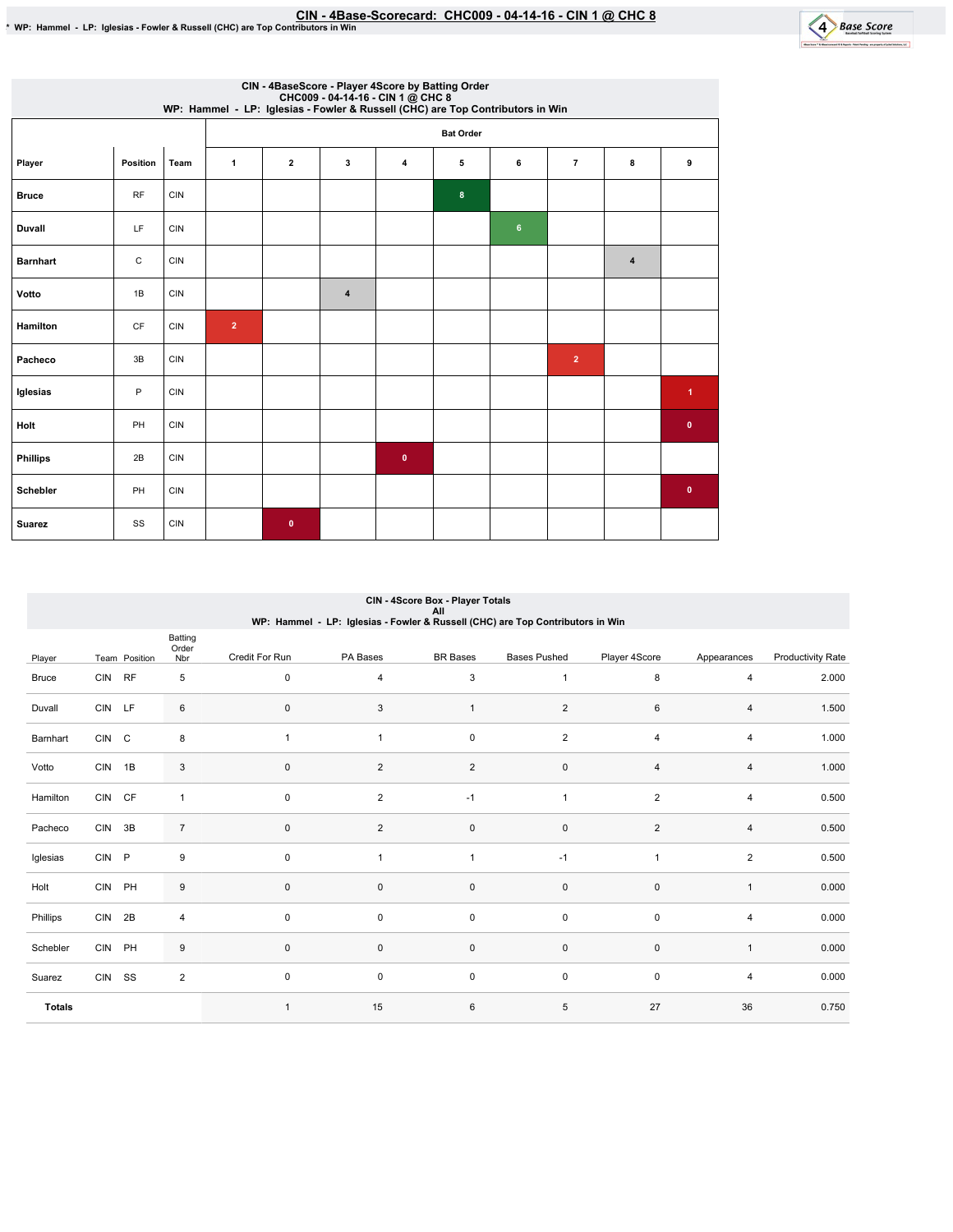

| CIN - 4BaseScore - Player 4Score by Batting Order<br>CHC009 - 04-14-16 - CIN 1 @ CHC 8<br>WP: Hammel - LP: Iglesias - Fowler & Russell (CHC) are Top Contributors in Win |              |            |                |              |                         |             |                  |                |                |                |                |
|--------------------------------------------------------------------------------------------------------------------------------------------------------------------------|--------------|------------|----------------|--------------|-------------------------|-------------|------------------|----------------|----------------|----------------|----------------|
|                                                                                                                                                                          |              |            |                |              |                         |             | <b>Bat Order</b> |                |                |                |                |
| Player                                                                                                                                                                   | Position     | Team       | $\mathbf{1}$   | $\mathbf{2}$ | 3                       | 4           | 5                | 6              | $\overline{7}$ | 8              | 9              |
| <b>Bruce</b>                                                                                                                                                             | <b>RF</b>    | <b>CIN</b> |                |              |                         |             | 8                |                |                |                |                |
| Duvall                                                                                                                                                                   | <b>LF</b>    | <b>CIN</b> |                |              |                         |             |                  | $6\phantom{a}$ |                |                |                |
| <b>Barnhart</b>                                                                                                                                                          | $\mathtt{C}$ | <b>CIN</b> |                |              |                         |             |                  |                |                | $\overline{4}$ |                |
| Votto                                                                                                                                                                    | 1B           | <b>CIN</b> |                |              | $\overline{\mathbf{4}}$ |             |                  |                |                |                |                |
| Hamilton                                                                                                                                                                 | <b>CF</b>    | <b>CIN</b> | $\overline{2}$ |              |                         |             |                  |                |                |                |                |
| Pacheco                                                                                                                                                                  | 3B           | <b>CIN</b> |                |              |                         |             |                  |                | $\mathbf 2$    |                |                |
| Iglesias                                                                                                                                                                 | P            | <b>CIN</b> |                |              |                         |             |                  |                |                |                | $\overline{1}$ |
| Holt                                                                                                                                                                     | PH           | <b>CIN</b> |                |              |                         |             |                  |                |                |                | $\bullet$      |
| <b>Phillips</b>                                                                                                                                                          | 2B           | <b>CIN</b> |                |              |                         | $\mathbf 0$ |                  |                |                |                |                |
| Schebler                                                                                                                                                                 | PH           | <b>CIN</b> |                |              |                         |             |                  |                |                |                | $\bullet$      |
| <b>Suarez</b>                                                                                                                                                            | SS           | <b>CIN</b> |                | $\mathbf{0}$ |                         |             |                  |                |                |                |                |

#### CIN - 4Score Box - Player Totals All<br>WP: Hammel - LP: Iglesias - Fowler & Russell (CHC) are Top Contributors in Win

| Player        |        | Team Position | Batting<br>Order<br>Nbr | Credit For Run | PA Bases       | <b>BR</b> Bases | <b>Bases Pushed</b> | Player 4Score  | Appearances    | <b>Productivity Rate</b> |
|---------------|--------|---------------|-------------------------|----------------|----------------|-----------------|---------------------|----------------|----------------|--------------------------|
| <b>Bruce</b>  | CIN RF |               | 5                       | $\mathsf 0$    | $\overline{4}$ | 3               | $\overline{1}$      | 8              | 4              | 2.000                    |
| Duvall        | CIN LF |               | 6                       | $\mathsf 0$    | 3              | $\mathbf{1}$    | 2                   | 6              | $\overline{4}$ | 1.500                    |
| Barnhart      | CIN C  |               | 8                       | $\mathbf{1}$   | $\mathbf{1}$   | $\pmb{0}$       | $\overline{2}$      | $\overline{4}$ | 4              | 1.000                    |
| Votto         | CIN 1B |               | $\mathbf{3}$            | $\mathsf 0$    | $\overline{2}$ | $\overline{c}$  | $\mathsf{O}\xspace$ | $\overline{4}$ | 4              | 1.000                    |
| Hamilton      | CIN CF |               | $\mathbf{1}$            | $\mathsf 0$    | $\overline{2}$ | $-1$            | $\overline{1}$      | $\overline{2}$ | 4              | 0.500                    |
| Pacheco       | CIN 3B |               | $\overline{7}$          | $\mathbf 0$    | $\overline{c}$ | $\pmb{0}$       | 0                   | $\overline{2}$ | 4              | 0.500                    |
| Iglesias      | CIN P  |               | 9                       | $\mathsf 0$    | $\mathbf{1}$   | $\mathbf{1}$    | $-1$                | $\overline{1}$ | $\overline{2}$ | 0.500                    |
| Holt          | CIN PH |               | 9                       | $\mathsf 0$    | 0              | $\pmb{0}$       | $\mathsf{O}\xspace$ | $\mathsf 0$    | $\mathbf{1}$   | 0.000                    |
| Phillips      | CIN 2B |               | 4                       | $\mathsf 0$    | 0              | $\pmb{0}$       | $\mathsf 0$         | $\mathsf 0$    | 4              | 0.000                    |
| Schebler      | CIN PH |               | 9                       | $\mathbf 0$    | $\mathbf 0$    | $\pmb{0}$       | $\mathsf{O}\xspace$ | $\mathsf 0$    | $\mathbf{1}$   | 0.000                    |
| Suarez        | CIN SS |               | $\overline{2}$          | $\mathsf 0$    | 0              | $\pmb{0}$       | $\mathsf 0$         | $\mathsf 0$    | 4              | 0.000                    |
| <b>Totals</b> |        |               |                         | $\mathbf{1}$   | 15             | $\,6$           | 5                   | 27             | 36             | 0.750                    |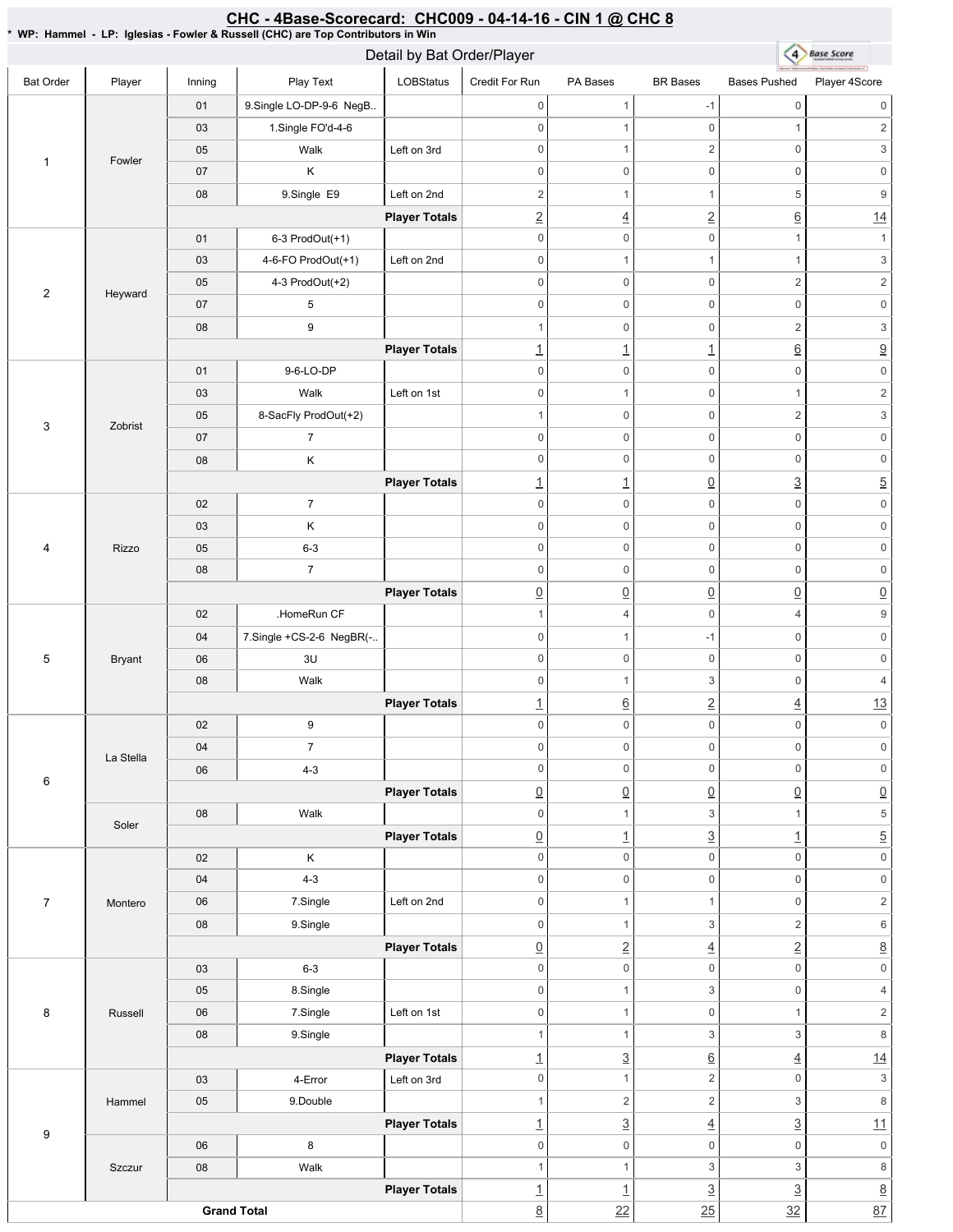#### CHC - 4Base-Scorecard: CHC009 - 04-14-16 - CIN 1 @ CHC 8

\* WP: Hammel -LP: Iglesias - Fowler & Russell (CHC) are Top Contributors in Win

|                  |               |            |                          | Detail by Bat Order/Player |                                         | 4 Base Score             |                                       |                                 |                                        |
|------------------|---------------|------------|--------------------------|----------------------------|-----------------------------------------|--------------------------|---------------------------------------|---------------------------------|----------------------------------------|
| <b>Bat Order</b> | Player        | Inning     | Play Text                | LOBStatus                  | Credit For Run                          | PA Bases                 | <b>BR</b> Bases                       | <b>Bases Pushed</b>             | Player 4Score                          |
|                  |               | 01         | 9.Single LO-DP-9-6 NegB  |                            | $\mathbf 0$                             | 1                        | $-1$                                  | $\mathbb O$                     | $\mathsf{0}$                           |
|                  |               | 03         | 1.Single FO'd-4-6        |                            | $\mathbf 0$                             | $\mathbf{1}$             | $\mathsf 0$                           | $\mathbf{1}$                    | $\overline{2}$                         |
|                  |               | 05         | Walk                     | Left on 3rd                | $\mathbf 0$                             | 1                        | $\sqrt{2}$                            | $\mathbb O$                     | $\ensuremath{\mathsf{3}}$              |
| 1                | Fowler        | 07         | Κ                        |                            | $\boldsymbol{0}$                        | $\mathsf 0$              | $\mathbf 0$                           | $\mathbb O$                     | $\mathsf{0}$                           |
|                  |               | 08         | 9.Single E9              | Left on 2nd                | $\overline{2}$                          | $\mathbf{1}$             | $\mathbf{1}$                          | $\sqrt{5}$                      | $\boldsymbol{9}$                       |
|                  |               |            |                          | <b>Player Totals</b>       | $\underline{2}$                         | $\overline{4}$           | $\overline{2}$                        | $\underline{6}$                 | 14                                     |
|                  |               | 01         | 6-3 ProdOut(+1)          |                            | $\mathbf 0$                             | $\boldsymbol{0}$         | $\mathbf 0$                           | $\mathbf{1}$                    | $\mathbf{1}$                           |
|                  |               | 03         | 4-6-FO ProdOut(+1)       | Left on 2nd                | $\mathbf 0$                             | $\mathbf{1}$             | $\mathbf{1}$                          | $\mathbf{1}$                    | $\ensuremath{\mathsf{3}}$              |
|                  |               | 05         | 4-3 ProdOut(+2)          |                            | $\boldsymbol{0}$                        | $\boldsymbol{0}$         | $\mathsf 0$                           | $\sqrt{2}$                      | $\overline{c}$                         |
| $\overline{2}$   | Heyward       | 07         | $\,$ 5 $\,$              |                            | $\mathbf 0$                             | $\mathsf{O}\xspace$      | $\mathsf 0$                           | $\mathsf 0$                     | $\mathsf{0}$                           |
|                  |               | 08         | $\boldsymbol{9}$         |                            | $\mathbf{1}$                            | $\boldsymbol{0}$         | $\mathsf 0$                           | $\sqrt{2}$                      | $\ensuremath{\mathsf{3}}$              |
|                  |               |            |                          | <b>Player Totals</b>       | $\overline{1}$                          | $\underline{\mathbf{1}}$ | $\overline{1}$                        | $\underline{6}$                 | $\underline{9}$                        |
|                  |               | 01         | 9-6-LO-DP                |                            | $\mathbf 0$                             | $\mathsf{O}\xspace$      | $\mathsf 0$                           | $\mathsf 0$                     | $\mathsf{O}\xspace$                    |
|                  |               | 03         | Walk                     | Left on 1st                | $\mathsf{O}\xspace$                     | 1                        | $\mathsf 0$                           | $\overline{1}$                  | $\overline{c}$                         |
|                  |               | 05         | 8-SacFly ProdOut(+2)     |                            | $\mathbf{1}$                            | $\boldsymbol{0}$         | $\mathbf 0$                           | $\sqrt{2}$                      | $\mathfrak{S}$                         |
| 3                | Zobrist       | 07         | $\overline{7}$           |                            | $\mathbf 0$                             | $\mathsf{O}\xspace$      | $\mathsf 0$                           | $\mathbb O$                     | $\mathsf{O}\xspace$                    |
|                  |               | 08         | $\mathsf K$              |                            | $\mathbf 0$                             | $\boldsymbol{0}$         | $\mathsf 0$                           | $\mathbb O$                     | $\mathsf{0}$                           |
|                  |               |            |                          | <b>Player Totals</b>       | $\underline{\mathbf{1}}$                | $\underline{\mathbf{1}}$ | $\underline{0}$                       | $\underline{3}$                 | $\overline{5}$                         |
|                  |               | 02         | $\overline{7}$           |                            | $\mathbf 0$                             | $\mathsf{O}\xspace$      | $\mathbf 0$                           | $\mathbf 0$                     | $\mathsf{O}\xspace$                    |
|                  |               | 03         | Κ                        |                            | $\mathbf 0$                             | $\mathsf 0$              | $\mathbf 0$                           | $\mathbb O$                     | $\mathbb O$                            |
| 4                | Rizzo         | 05         | $6 - 3$                  |                            | $\mathbf 0$                             | $\mathsf{O}\xspace$      | $\mathsf 0$                           | $\mathbb O$                     | $\mathsf{O}\xspace$                    |
|                  |               | 08         | $\overline{7}$           |                            | $\mathsf{O}\xspace$                     | $\boldsymbol{0}$         | $\mathsf 0$                           | $\mathbb O$                     | $\mathsf{0}$                           |
|                  |               |            |                          | <b>Player Totals</b>       | $\underline{0}$                         | $\underline{0}$          | $\underline{0}$                       | $\underline{0}$                 | $\underline{0}$                        |
|                  |               | 02         | .HomeRun CF              |                            | $\mathbf{1}$                            | 4                        | $\mathsf 0$                           | $\overline{4}$                  | $\boldsymbol{9}$                       |
|                  | <b>Bryant</b> | 04         | 7.Single +CS-2-6 NegBR(- |                            | $\mathbf 0$                             | 1                        | $-1$                                  | $\mathbb O$                     | $\mathsf{O}\xspace$                    |
| 5                |               | 06         | 3U                       |                            | $\boldsymbol{0}$                        | 0                        | $\mathbf 0$                           | $\mathbb O$                     | $\mathsf{O}\xspace$                    |
|                  |               | 08         | Walk                     |                            | $\mathbf 0$                             | $\mathbf{1}$             | 3                                     | $\mathbb O$                     | $\overline{4}$                         |
|                  |               |            |                          | <b>Player Totals</b>       |                                         | $\underline{6}$          | $\overline{2}$                        | $\underline{4}$                 | 13                                     |
|                  |               | 02         | 9                        |                            | $\underline{\mathbf{1}}$<br>$\mathbf 0$ | $\mathsf{O}\xspace$      | $\mathsf 0$                           | $\mathsf 0$                     | $\mathsf{O}\xspace$                    |
|                  |               | 04         |                          |                            |                                         |                          |                                       |                                 | 0                                      |
|                  | La Stella     | 06         | <sup>'</sup><br>$4 - 3$  |                            | 0<br>$\mathbf 0$                        | 0<br>0                   | 0<br>$\mathsf 0$                      | 0<br>$\mathsf 0$                | $\mathsf{O}\xspace$                    |
| 6                |               |            |                          | <b>Player Totals</b>       |                                         | $\underline{0}$          | $\underline{0}$                       |                                 |                                        |
|                  |               | 08         | Walk                     |                            | $\underline{0}$<br>$\mathbf 0$          | $\mathbf{1}$             | $\ensuremath{\mathsf{3}}$             | $\underline{0}$<br>$\mathbf{1}$ | $\underline{0}$<br>5                   |
|                  | Soler         |            |                          |                            |                                         |                          |                                       |                                 |                                        |
|                  |               | 02         | Κ                        | <b>Player Totals</b>       | $\underline{0}$<br>$\mathbf 0$          | $\perp$<br>0             | $\overline{3}$<br>$\mathsf{O}\xspace$ | $\overline{1}$<br>$\mathbf 0$   | $\overline{5}$<br>$\mathsf{O}\xspace$  |
|                  |               | 04         | $4 - 3$                  |                            | $\mathbf 0$                             | $\mathsf{O}\xspace$      | $\mathsf{O}\xspace$                   | $\mathbb O$                     | $\mathsf{O}\xspace$                    |
| $\overline{7}$   |               | 06         | 7.Single                 | Left on 2nd                | $\mathbf 0$                             | $\mathbf{1}$             | $\mathbf{1}$                          | $\mathbb O$                     | $\overline{c}$                         |
|                  | Montero       | 08         |                          |                            | $\mathbf 0$                             | $\mathbf{1}$             | $\ensuremath{\mathsf{3}}$             | $\sqrt{2}$                      | 6                                      |
|                  |               |            | 9.Single                 |                            |                                         |                          |                                       |                                 |                                        |
|                  |               |            | $6 - 3$                  | <b>Player Totals</b>       | $\underline{0}$<br>$\mathbf 0$          | $\underline{2}$<br>0     | $\overline{4}$<br>$\mathsf 0$         | $\underline{2}$<br>$\mathbf 0$  | $\underline{8}$<br>$\mathsf{O}\xspace$ |
|                  |               | 03<br>05   |                          |                            | $\mathsf{O}\xspace$                     | $\mathbf{1}$             | $\ensuremath{\mathsf{3}}$             | $\mathbb O$                     | $\overline{4}$                         |
|                  |               |            | 8.Single                 |                            |                                         |                          |                                       | $\mathbf{1}$                    |                                        |
| 8                | Russell       | 06         | 7.Single                 | Left on 1st                | $\mathsf 0$                             | $\mathbf{1}$             | $\mathsf{O}\xspace$                   |                                 | $\overline{c}$                         |
|                  |               | 08         | 9.Single                 |                            | $\mathbf{1}$                            | $\mathbf{1}$             | $\ensuremath{\mathsf{3}}$             | $\mathsf 3$                     | $\,8\,$                                |
|                  |               |            |                          | <b>Player Totals</b>       | $\overline{1}$                          | $\underline{3}$          | $\underline{6}$                       | $\overline{4}$                  | 14                                     |
|                  |               | 03         | 4-Error                  | Left on 3rd                | $\mathsf{O}\xspace$                     | $\mathbf{1}$             | $\sqrt{2}$                            | $\mathbb O$                     | $\ensuremath{\mathsf{3}}$              |
|                  | Hammel        | 05         | 9.Double                 |                            | $\mathbf{1}$                            | $\overline{c}$           | $\sqrt{2}$                            | $\mathsf 3$                     | $\,8\,$                                |
| 9                |               |            |                          | <b>Player Totals</b>       | $\overline{1}$                          | $\underline{3}$          | $\underline{4}$                       | $\overline{3}$                  | 11                                     |
|                  |               | 06         | $\bf 8$                  |                            | $\mathsf{O}\xspace$                     | 0                        | $\mathsf{O}\xspace$                   | $\mathbf 0$                     | $\mathsf{O}\xspace$                    |
|                  | Szczur        | ${\bf 08}$ | Walk                     |                            | $\mathbf{1}$                            | $\mathbf{1}$             | $\ensuremath{\mathsf{3}}$             | $\ensuremath{\mathsf{3}}$       | $\bf 8$                                |
|                  |               |            |                          | <b>Player Totals</b>       | $\overline{1}$                          | $\overline{1}$           | $\underline{3}$                       | $\underline{3}$                 | $\underline{8}$                        |
|                  |               |            | <b>Grand Total</b>       |                            | $\underline{8}$                         | 22                       | 25                                    | 32                              | 87                                     |